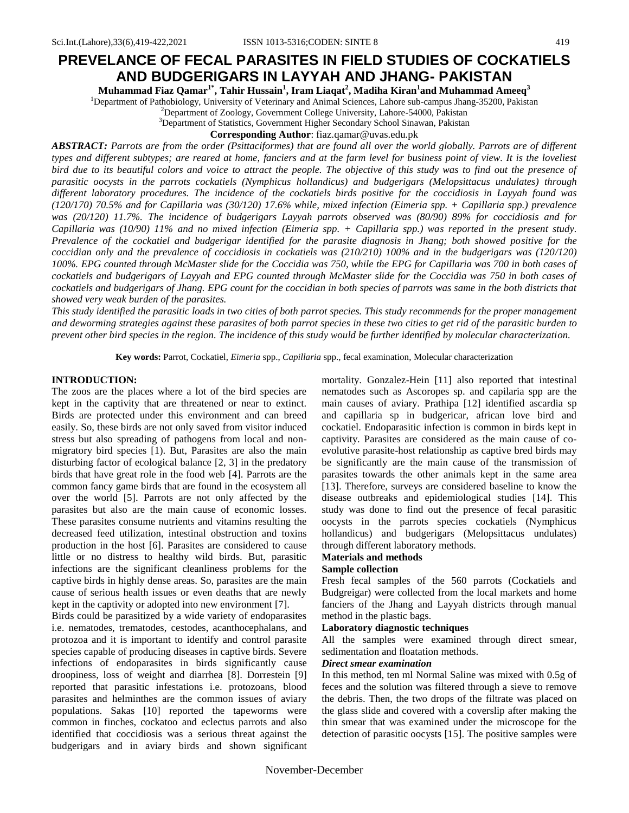# **PREVELANCE OF FECAL PARASITES IN FIELD STUDIES OF COCKATIELS AND BUDGERIGARS IN LAYYAH AND JHANG- PAKISTAN**

**Muhammad Fiaz Qamar1\* , Tahir Hussain<sup>1</sup> , Iram Liaqat<sup>2</sup> , Madiha Kiran<sup>1</sup> and Muhammad Ameeq<sup>3</sup>**

<sup>1</sup>Department of Pathobiology, University of Veterinary and Animal Sciences, Lahore sub-campus Jhang-35200, Pakistan

<sup>2</sup>Department of Zoology, Government College University, Lahore-54000, Pakistan

<sup>3</sup>Department of Statistics, Government Higher Secondary School Sinawan, Pakistan

**Corresponding Author**: fiaz.qamar@uvas.edu.pk

*ABSTRACT: Parrots are from the order (Psittaciformes) that are found all over the world globally. Parrots are of different types and different subtypes; are reared at home, fanciers and at the farm level for business point of view. It is the loveliest bird due to its beautiful colors and voice to attract the people. The objective of this study was to find out the presence of parasitic oocysts in the parrots cockatiels (Nymphicus hollandicus) and budgerigars (Melopsittacus undulates) through different laboratory procedures. The incidence of the cockatiels birds positive for the coccidiosis in Layyah found was (120/170) 70.5% and for Capillaria was (30/120) 17.6% while, mixed infection (Eimeria spp. + Capillaria spp.) prevalence was (20/120) 11.7%. The incidence of budgerigars Layyah parrots observed was (80/90) 89% for coccidiosis and for Capillaria was (10/90) 11% and no mixed infection (Eimeria spp. + Capillaria spp.) was reported in the present study. Prevalence of the cockatiel and budgerigar identified for the parasite diagnosis in Jhang; both showed positive for the coccidian only and the prevalence of coccidiosis in cockatiels was (210/210) 100% and in the budgerigars was (120/120) 100%. EPG counted through McMaster slide for the Coccidia was 750, while the EPG for Capillaria was 700 in both cases of cockatiels and budgerigars of Layyah and EPG counted through McMaster slide for the Coccidia was 750 in both cases of cockatiels and budgerigars of Jhang. EPG count for the coccidian in both species of parrots was same in the both districts that showed very weak burden of the parasites.* 

*This study identified the parasitic loads in two cities of both parrot species. This study recommends for the proper management and deworming strategies against these parasites of both parrot species in these two cities to get rid of the parasitic burden to prevent other bird species in the region. The incidence of this study would be further identified by molecular characterization.* 

**Key words:** Parrot, Cockatiel, *Eimeria* spp., *Capillaria* spp.*,* fecal examination, Molecular characterization

## **INTRODUCTION:**

The zoos are the places where a lot of the bird species are kept in the captivity that are threatened or near to extinct. Birds are protected under this environment and can breed easily. So, these birds are not only saved from visitor induced stress but also spreading of pathogens from local and nonmigratory bird species [1). But, Parasites are also the main disturbing factor of ecological balance [2, 3] in the predatory birds that have great role in the food web [4]. Parrots are the common fancy game birds that are found in the ecosystem all over the world [5]. Parrots are not only affected by the parasites but also are the main cause of economic losses. These parasites consume nutrients and vitamins resulting the decreased feed utilization, intestinal obstruction and toxins production in the host [6]. Parasites are considered to cause little or no distress to healthy wild birds. But, parasitic infections are the significant cleanliness problems for the captive birds in highly dense areas. So, parasites are the main cause of serious health issues or even deaths that are newly kept in the captivity or adopted into new environment [7].

Birds could be parasitized by a wide variety of endoparasites i.e. nematodes, trematodes, cestodes, acanthocephalans, and protozoa and it is important to identify and control parasite species capable of producing diseases in captive birds. Severe infections of endoparasites in birds significantly cause droopiness, loss of weight and diarrhea [8]. Dorrestein [9] reported that parasitic infestations i.e. protozoans, blood parasites and helminthes are the common issues of aviary populations. Sakas [10] reported the tapeworms were common in finches, cockatoo and eclectus parrots and also identified that coccidiosis was a serious threat against the budgerigars and in aviary birds and shown significant mortality. Gonzalez-Hein [11] also reported that intestinal nematodes such as Ascoropes sp. and capilaria spp are the main causes of aviary. Prathipa [12] identified ascardia sp and capillaria sp in budgericar, african love bird and cockatiel. Endoparasitic infection is common in birds kept in captivity. Parasites are considered as the main cause of coevolutive parasite-host relationship as captive bred birds may be significantly are the main cause of the transmission of parasites towards the other animals kept in the same area [13]. Therefore, surveys are considered baseline to know the disease outbreaks and epidemiological studies [14]. This study was done to find out the presence of fecal parasitic oocysts in the parrots species cockatiels (Nymphicus hollandicus) and budgerigars (Melopsittacus undulates) through different laboratory methods.

# **Materials and methods**

## **Sample collection**

Fresh fecal samples of the 560 parrots (Cockatiels and Budgreigar) were collected from the local markets and home fanciers of the Jhang and Layyah districts through manual method in the plastic bags.

#### **Laboratory diagnostic techniques**

All the samples were examined through direct smear, sedimentation and floatation methods.

#### *Direct smear examination*

In this method, ten ml Normal Saline was mixed with 0.5g of feces and the solution was filtered through a sieve to remove the debris. Then, the two drops of the filtrate was placed on the glass slide and covered with a coverslip after making the thin smear that was examined under the microscope for the detection of parasitic oocysts [15]. The positive samples were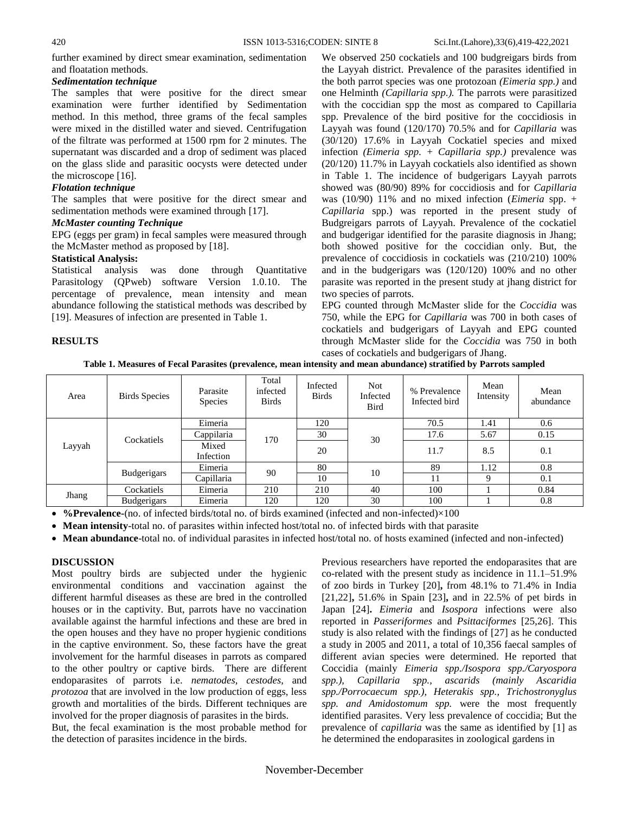further examined by direct smear examination, sedimentation and floatation methods.

## *Sedimentation technique*

The samples that were positive for the direct smear examination were further identified by Sedimentation method. In this method, three grams of the fecal samples were mixed in the distilled water and sieved. Centrifugation of the filtrate was performed at 1500 rpm for 2 minutes. The supernatant was discarded and a drop of sediment was placed on the glass slide and parasitic oocysts were detected under the microscope [16].

#### *Flotation technique*

The samples that were positive for the direct smear and sedimentation methods were examined through [17].

#### *McMaster counting Technique*

EPG (eggs per gram) in fecal samples were measured through the McMaster method as proposed by [18].

#### **Statistical Analysis:**

Statistical analysis was done through Quantitative Parasitology (QPweb) software Version 1.0.10. The percentage of prevalence, mean intensity and mean abundance following the statistical methods was described by [19]. Measures of infection are presented in Table 1.

## **RESULTS**

We observed 250 cockatiels and 100 budgreigars birds from the Layyah district. Prevalence of the parasites identified in the both parrot species was one protozoan *(Eimeria spp.)* and one Helminth *(Capillaria spp.).* The parrots were parasitized with the coccidian spp the most as compared to Capillaria spp. Prevalence of the bird positive for the coccidiosis in Layyah was found (120/170) 70.5% and for *Capillaria* was (30/120) 17.6% in Layyah Cockatiel species and mixed infection *(Eimeria spp. + Capillaria spp.)* prevalence was (20/120) 11.7% in Layyah cockatiels also identified as shown in Table 1. The incidence of budgerigars Layyah parrots showed was (80/90) 89% for coccidiosis and for *Capillaria* was (10/90) 11% and no mixed infection (*Eimeria* spp. + *Capillaria* spp.) was reported in the present study of Budgreigars parrots of Layyah. Prevalence of the cockatiel and budgerigar identified for the parasite diagnosis in Jhang; both showed positive for the coccidian only. But, the prevalence of coccidiosis in cockatiels was (210/210) 100% and in the budgerigars was (120/120) 100% and no other parasite was reported in the present study at jhang district for two species of parrots.

EPG counted through McMaster slide for the *Coccidia* was 750, while the EPG for *Capillaria* was 700 in both cases of cockatiels and budgerigars of Layyah and EPG counted through McMaster slide for the *Coccidia* was 750 in both cases of cockatiels and budgerigars of Jhang.

**Table 1. Measures of Fecal Parasites (prevalence, mean intensity and mean abundance) stratified by Parrots sampled**

| <b>Birds Species</b> | Parasite<br>Species              | Total<br>infected<br><b>Birds</b> | Infected<br><b>Birds</b> | Not.<br>Infected<br>Bird | % Prevalence<br>Infected bird | Mean<br>Intensity | Mean<br>abundance |
|----------------------|----------------------------------|-----------------------------------|--------------------------|--------------------------|-------------------------------|-------------------|-------------------|
|                      | Eimeria                          | 170                               | 120                      | 30                       | 70.5                          | 1.41              | 0.6               |
|                      | Cappilaria                       |                                   | 30                       |                          | 17.6                          | 5.67              | 0.15              |
| Layyah               | Mixed<br>Infection               |                                   | 20                       |                          | 11.7                          | 8.5               | 0.1               |
|                      | Eimeria                          | 90                                | 80                       | 10                       | 89                            | 1.12              | 0.8               |
|                      | Capillaria                       |                                   | 10                       |                          | 11                            | 9                 | 0.1               |
| Cockatiels           | Eimeria                          | 210                               | 210                      | 40                       | 100                           |                   | 0.84              |
| Budgerigars          | Eimeria                          | 120                               | 120                      | 30                       | 100                           |                   | 0.8               |
|                      | Cockatiels<br><b>Budgerigars</b> |                                   |                          |                          |                               |                   |                   |

**%Prevalence-**(no. of infected birds/total no. of birds examined (infected and non-infected)×100

**Mean intensity**-total no. of parasites within infected host/total no. of infected birds with that parasite

**Mean abundance**-total no. of individual parasites in infected host/total no. of hosts examined (infected and non-infected)

## **DISCUSSION**

Most poultry birds are subjected under the hygienic environmental conditions and vaccination against the different harmful diseases as these are bred in the controlled houses or in the captivity. But, parrots have no vaccination available against the harmful infections and these are bred in the open houses and they have no proper hygienic conditions in the captive environment. So, these factors have the great involvement for the harmful diseases in parrots as compared to the other poultry or captive birds. There are different endoparasites of parrots i.e. *nematodes, cestodes,* and *protozoa* that are involved in the low production of eggs, less growth and mortalities of the birds. Different techniques are involved for the proper diagnosis of parasites in the birds.

But, the fecal examination is the most probable method for the detection of parasites incidence in the birds.

Previous researchers have reported the endoparasites that are co-related with the present study as incidence in 11.1–51.9% of zoo birds in Turkey [20]**,** from 48.1% to 71.4% in India [21,22]**,** 51.6% in Spain [23]**,** and in 22.5% of pet birds in Japan [24]**.** *Eimeria* and *Isospora* infections were also reported in *Passeriformes* and *Psittaciformes* [25,26]. This study is also related with the findings of [27] as he conducted a study in 2005 and 2011, a total of 10,356 faecal samples of different avian species were determined. He reported that Coccidia (mainly *Eimeria spp./Isospora spp./Caryospora spp.), Capillaria spp., ascarids (mainly Ascaridia spp./Porrocaecum spp.), Heterakis spp., Trichostronyglus spp. and Amidostomum spp.* were the most frequently identified parasites. Very less prevalence of coccidia; But the prevalence of *capillaria* was the same as identified by [1] as he determined the endoparasites in zoological gardens in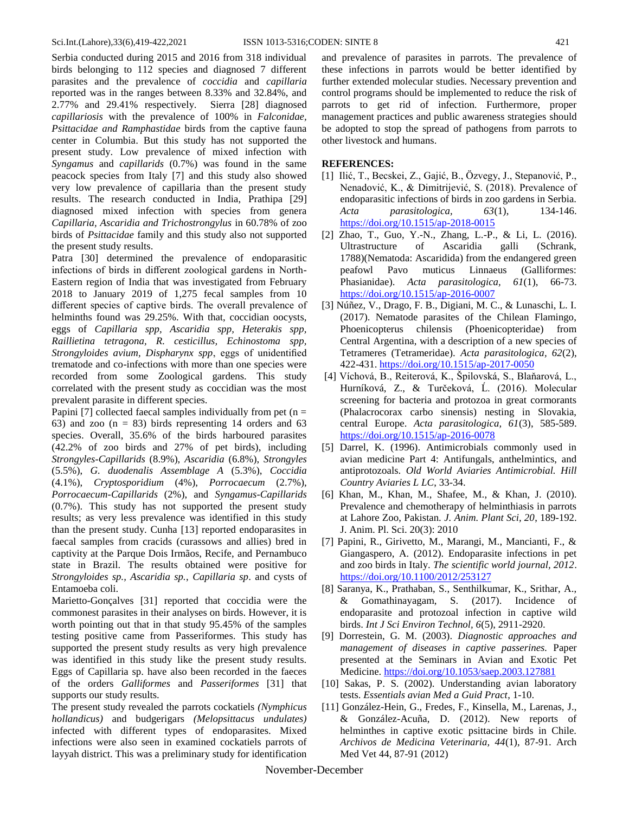Serbia conducted during 2015 and 2016 from 318 individual birds belonging to 112 species and diagnosed 7 different parasites and the prevalence of *coccidia* and *capillaria* reported was in the ranges between 8.33% and 32.84%, and 2.77% and 29.41% respectively. Sierra [28] diagnosed *capillariosis* with the prevalence of 100% in *Falconidae, Psittacidae and Ramphastidae* birds from the captive fauna center in Columbia. But this study has not supported the present study. Low prevalence of mixed infection with *Syngamus* and *capillarids* (0.7%) was found in the same peacock species from Italy [7] and this study also showed very low prevalence of capillaria than the present study results. The research conducted in India, Prathipa [29] diagnosed mixed infection with species from genera *Capillaria, Ascaridia and Trichostrongylus* in 60.78% of zoo birds of *Psittacidae* family and this study also not supported the present study results.

Patra [30] determined the prevalence of endoparasitic infections of birds in different zoological gardens in North-Eastern region of India that was investigated from February 2018 to January 2019 of 1,275 fecal samples from 10 different species of captive birds. The overall prevalence of helminths found was 29.25%. With that, coccidian oocysts, eggs of *Capillaria spp, Ascaridia spp, Heterakis spp, Raillietina tetragona, R. cesticillus, Echinostoma spp, Strongyloides avium, Dispharynx spp*, eggs of unidentified trematode and co-infections with more than one species were recorded from some Zoological gardens. This study correlated with the present study as coccidian was the most prevalent parasite in different species.

Papini [7] collected faecal samples individually from pet  $(n =$ 63) and zoo  $(n = 83)$  birds representing 14 orders and 63 species. Overall, 35.6% of the birds harboured parasites (42.2% of zoo birds and 27% of pet birds), including *Strongyles-Capillarids* (8.9%), *Ascaridia* (6.8%), *Strongyles* (5.5%), *G. duodenalis Assemblage A* (5.3%), *Coccidia* (4.1%), *Cryptosporidium* (4%), *Porrocaecum* (2.7%), *Porrocaecum-Capillarids* (2%), and *Syngamus-Capillarids* (0.7%). This study has not supported the present study results; as very less prevalence was identified in this study than the present study. Cunha [13] reported endoparasites in faecal samples from cracids (curassows and allies) bred in captivity at the Parque Dois Irmãos, Recife, and Pernambuco state in Brazil. The results obtained were positive for *Strongyloides sp., Ascaridia sp.*, *Capillaria sp*. and cysts of Entamoeba coli.

Marietto-Gonçalves [31] reported that coccidia were the commonest parasites in their analyses on birds. However, it is worth pointing out that in that study 95.45% of the samples testing positive came from Passeriformes. This study has supported the present study results as very high prevalence was identified in this study like the present study results. Eggs of Capillaria sp. have also been recorded in the faeces of the orders *Galliformes* and *Passeriformes* [31] that supports our study results.

The present study revealed the parrots cockatiels *(Nymphicus hollandicus)* and budgerigars *(Melopsittacus undulates)* infected with different types of endoparasites. Mixed infections were also seen in examined cockatiels parrots of layyah district. This was a preliminary study for identification

and prevalence of parasites in parrots. The prevalence of these infections in parrots would be better identified by further extended molecular studies. Necessary prevention and control programs should be implemented to reduce the risk of parrots to get rid of infection. Furthermore, proper management practices and public awareness strategies should be adopted to stop the spread of pathogens from parrots to other livestock and humans.

## **REFERENCES:**

- [1] Ilić, T., Becskei, Z., Gajić, B., Özvegy, J., Stepanović, P., Nenadović, K., & Dimitrijević, S. (2018). Prevalence of endoparasitic infections of birds in zoo gardens in Serbia. *Acta parasitologica, 63*(1), 134-146. <https://doi.org/10.1515/ap-2018-0015>
- [2] Zhao, T., Guo, Y.-N., Zhang, L.-P., & Li, L. (2016). Ultrastructure of Ascaridia galli (Schrank, 1788)(Nematoda: Ascaridida) from the endangered green peafowl Pavo muticus Linnaeus (Galliformes: Phasianidae). *Acta parasitologica, 61*(1), 66-73. <https://doi.org/10.1515/ap-2016-0007>
- [3] Núñez, V., Drago, F. B., Digiani, M. C., & Lunaschi, L. I. (2017). Nematode parasites of the Chilean Flamingo, Phoenicopterus chilensis (Phoenicopteridae) from Central Argentina, with a description of a new species of Tetrameres (Tetrameridae). *Acta parasitologica, 62*(2), 422-431. <https://doi.org/10.1515/ap-2017-0050>
- [4] Víchová, B., Reiterová, K., Špilovská, S., Blaňarová, L., Hurníková, Z., & Turčeková, Ĺ. (2016). Molecular screening for bacteria and protozoa in great cormorants (Phalacrocorax carbo sinensis) nesting in Slovakia, central Europe. *Acta parasitologica, 61*(3), 585-589. <https://doi.org/10.1515/ap-2016-0078>
- [5] Darrel, K. (1996). Antimicrobials commonly used in avian medicine Part 4: Antifungals, anthelmintics, and antiprotozoals. *Old World Aviaries Antimicrobial. Hill Country Aviaries L LC*, 33-34.
- [6] Khan, M., Khan, M., Shafee, M., & Khan, J. (2010). Prevalence and chemotherapy of helminthiasis in parrots at Lahore Zoo, Pakistan. *J. Anim. Plant Sci, 20*, 189-192. J. Anim. Pl. Sci. 20(3): 2010
- [7] Papini, R., Girivetto, M., Marangi, M., Mancianti, F., & Giangaspero, A. (2012). Endoparasite infections in pet and zoo birds in Italy. *The scientific world journal, 2012*. <https://doi.org/10.1100/2012/253127>
- [8] Saranya, K., Prathaban, S., Senthilkumar, K., Srithar, A., & Gomathinayagam, S. (2017). Incidence of endoparasite and protozoal infection in captive wild birds. *Int J Sci Environ Technol, 6*(5), 2911-2920.
- [9] Dorrestein, G. M. (2003). *Diagnostic approaches and management of diseases in captive passerines.* Paper presented at the Seminars in Avian and Exotic Pet Medicine. <https://doi.org/10.1053/saep.2003.127881>
- [10] Sakas, P. S. (2002). Understanding avian laboratory tests. *Essentials avian Med a Guid Pract*, 1-10.
- [11] González-Hein, G., Fredes, F., Kinsella, M., Larenas, J., & González-Acuña, D. (2012). New reports of helminthes in captive exotic psittacine birds in Chile. *Archivos de Medicina Veterinaria, 44*(1), 87-91. Arch Med Vet 44, 87-91 (2012)